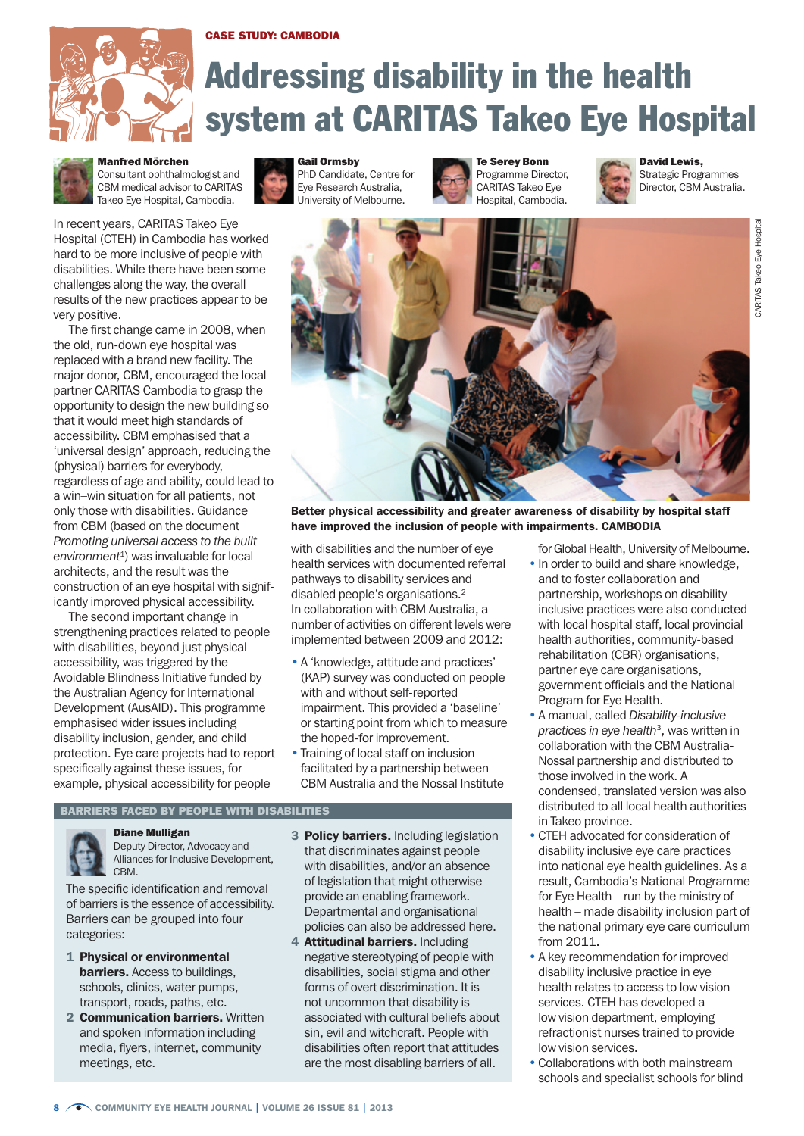## Case study: Cambodia



# Addressing disability in the health system at CARITAS Takeo Eye Hospital



Manfred Mörchen Consultant ophthalmologist and CBM medical advisor to CARITAS Takeo Eye Hospital, Cambodia.

In recent years, CARITAS Takeo Eye Hospital (CTEH) in Cambodia has worked hard to be more inclusive of people with disabilities. While there have been some challenges along the way, the overall results of the new practices appear to be very positive.

The first change came in 2008, when the old, run-down eye hospital was replaced with a brand new facility. The major donor, CBM, encouraged the local partner CARITAS Cambodia to grasp the opportunity to design the new building so that it would meet high standards of accessibility. CBM emphasised that a 'universal design' approach, reducing the (physical) barriers for everybody, regardless of age and ability, could lead to a win–win situation for all patients, not only those with disabilities. Guidance from CBM (based on the document *Promoting universal access to the built environment*1) was invaluable for local architects, and the result was the construction of an eye hospital with significantly improved physical accessibility.

The second important change in strengthening practices related to people with disabilities, beyond just physical accessibility, was triggered by the Avoidable Blindness Initiative funded by the Australian Agency for International Development (AusAID). This programme emphasised wider issues including disability inclusion, gender, and child protection. Eye care projects had to report specifically against these issues, for example, physical accessibility for people



PhD Candidate, Centre for Eye Research Australia, University of Melbourne.

Te Serey Bonn Programme Director, CARITAS Takeo Eye Hospital, Cambodia.



David Lewis, Strategic Programmes Director, CBM Australia.





Better physical accessibility and greater awareness of disability by hospital staff have improved the inclusion of people with impairments. CAMBODIA

with disabilities and the number of eye health services with documented referral pathways to disability services and disabled people's organisations.2 In collaboration with CBM Australia, a number of activities on different levels were implemented between 2009 and 2012:

- A 'knowledge, attitude and practices' (KAP) survey was conducted on people with and without self-reported impairment. This provided a 'baseline' or starting point from which to measure the hoped-for improvement.
- Training of local staff on inclusion facilitated by a partnership between CBM Australia and the Nossal Institute

## Barriers faced by people with disabilities

Diane Mulligan Deputy Director, Advocacy and Alliances for Inclusive Development, CBM.

The specific identification and removal of barriers is the essence of accessibility. Barriers can be grouped into four categories:

- 1 Physical or environmental **barriers.** Access to buildings. schools, clinics, water pumps, transport, roads, paths, etc.
- 2 **Communication barriers.** Written and spoken information including media, flyers, internet, community meetings, etc.
- 3 **Policy barriers.** Including legislation that discriminates against people with disabilities, and/or an absence of legislation that might otherwise provide an enabling framework. Departmental and organisational policies can also be addressed here.
- 4 **Attitudinal barriers.** Including negative stereotyping of people with disabilities, social stigma and other forms of overt discrimination. It is not uncommon that disability is associated with cultural beliefs about sin, evil and witchcraft. People with disabilities often report that attitudes are the most disabling barriers of all.
- for Global Health, University of Melbourne. • In order to build and share knowledge, and to foster collaboration and partnership, workshops on disability inclusive practices were also conducted with local hospital staff, local provincial health authorities, community-based rehabilitation (CBR) organisations, partner eye care organisations, government officials and the National Program for Eye Health.
- A manual, called *Disability-inclusive practices in eye health*3, was written in collaboration with the CBM Australia-Nossal partnership and distributed to those involved in the work. A condensed, translated version was also distributed to all local health authorities in Takeo province.
- CTEH advocated for consideration of disability inclusive eye care practices into national eye health guidelines. As a result, Cambodia's National Programme for Eye Health – run by the ministry of health – made disability inclusion part of the national primary eye care curriculum from 2011.
- A key recommendation for improved disability inclusive practice in eye health relates to access to low vision services. CTEH has developed a low vision department, employing refractionist nurses trained to provide low vision services.
- Collaborations with both mainstream schools and specialist schools for blind